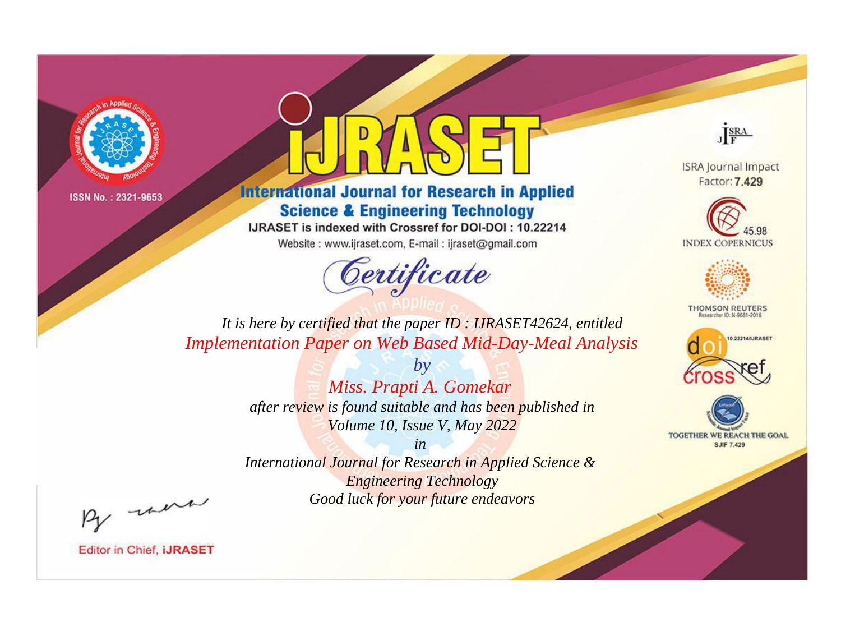



**International Journal for Research in Applied Science & Engineering Technology** 

IJRASET is indexed with Crossref for DOI-DOI: 10.22214

Website: www.ijraset.com, E-mail: ijraset@gmail.com



JERA

**ISRA Journal Impact** Factor: 7.429





**THOMSON REUTERS** 



TOGETHER WE REACH THE GOAL **SJIF 7.429** 

*It is here by certified that the paper ID : IJRASET42624, entitled Implementation Paper on Web Based Mid-Day-Meal Analysis*

> *by Miss. Prapti A. Gomekar after review is found suitable and has been published in Volume 10, Issue V, May 2022*

> > *in*

*International Journal for Research in Applied Science & Engineering Technology Good luck for your future endeavors*

By morn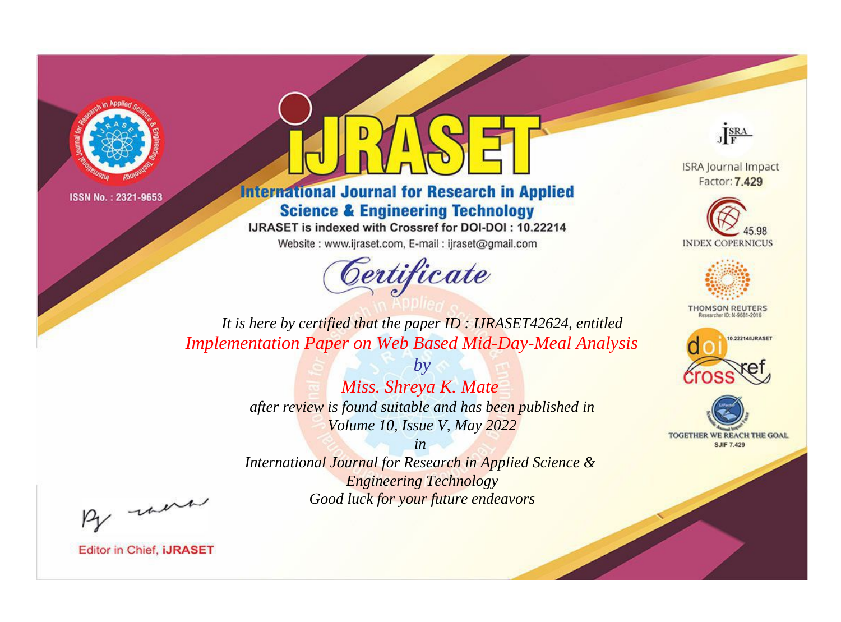



**International Journal for Research in Applied Science & Engineering Technology** 

IJRASET is indexed with Crossref for DOI-DOI: 10.22214

Website: www.ijraset.com, E-mail: ijraset@gmail.com



JERA

**ISRA Journal Impact** Factor: 7.429





**THOMSON REUTERS** 



TOGETHER WE REACH THE GOAL **SJIF 7.429** 

It is here by certified that the paper ID: IJRASET42624, entitled **Implementation Paper on Web Based Mid-Day-Meal Analysis** 

> Miss. Shreya K. Mate after review is found suitable and has been published in Volume 10, Issue V, May 2022

 $b\nu$ 

 $in$ International Journal for Research in Applied Science & **Engineering Technology** Good luck for your future endeavors

By morn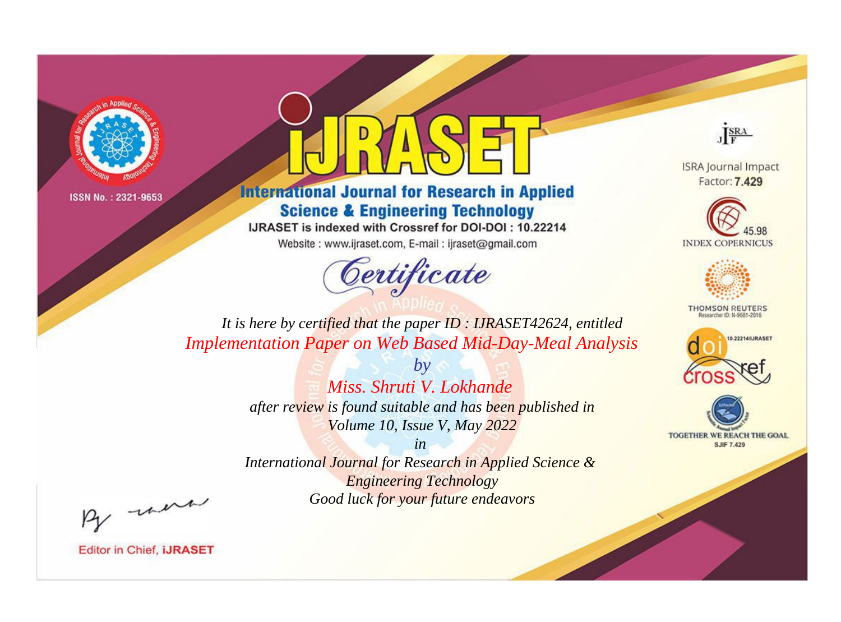



**International Journal for Research in Applied Science & Engineering Technology** 

IJRASET is indexed with Crossref for DOI-DOI: 10.22214

Website: www.ijraset.com, E-mail: ijraset@gmail.com



JERA

**ISRA Journal Impact** Factor: 7.429





**THOMSON REUTERS** 



TOGETHER WE REACH THE GOAL **SJIF 7.429** 

*It is here by certified that the paper ID : IJRASET42624, entitled Implementation Paper on Web Based Mid-Day-Meal Analysis*

> *by Miss. Shruti V. Lokhande after review is found suitable and has been published in Volume 10, Issue V, May 2022*

> > *in*

*International Journal for Research in Applied Science & Engineering Technology Good luck for your future endeavors*

By morn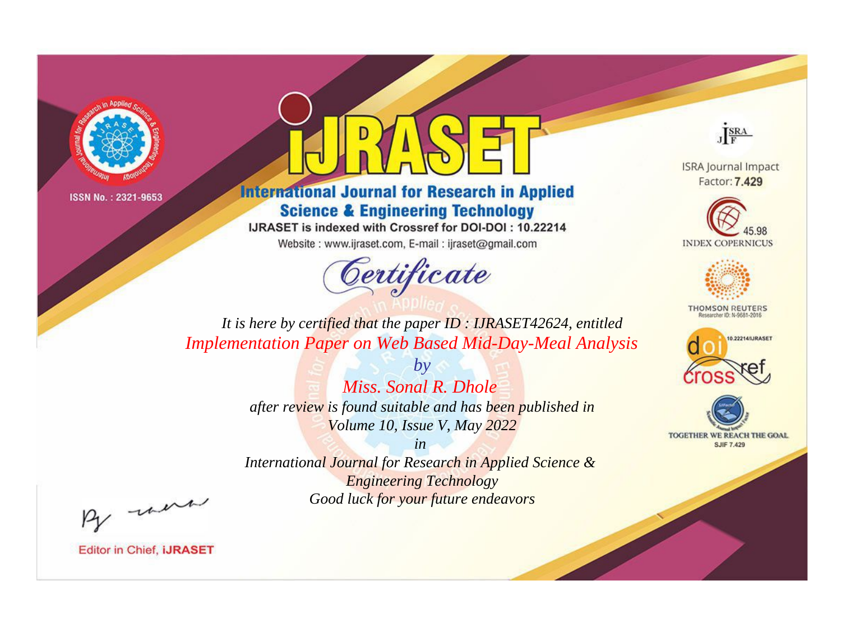



**International Journal for Research in Applied Science & Engineering Technology** 

IJRASET is indexed with Crossref for DOI-DOI: 10.22214

Website: www.ijraset.com, E-mail: ijraset@gmail.com



JERA

**ISRA Journal Impact** Factor: 7.429





**THOMSON REUTERS** 



TOGETHER WE REACH THE GOAL **SJIF 7.429** 

*It is here by certified that the paper ID : IJRASET42624, entitled Implementation Paper on Web Based Mid-Day-Meal Analysis*

> *by Miss. Sonal R. Dhole after review is found suitable and has been published in Volume 10, Issue V, May 2022*

> > *in*

*International Journal for Research in Applied Science & Engineering Technology Good luck for your future endeavors*

By morn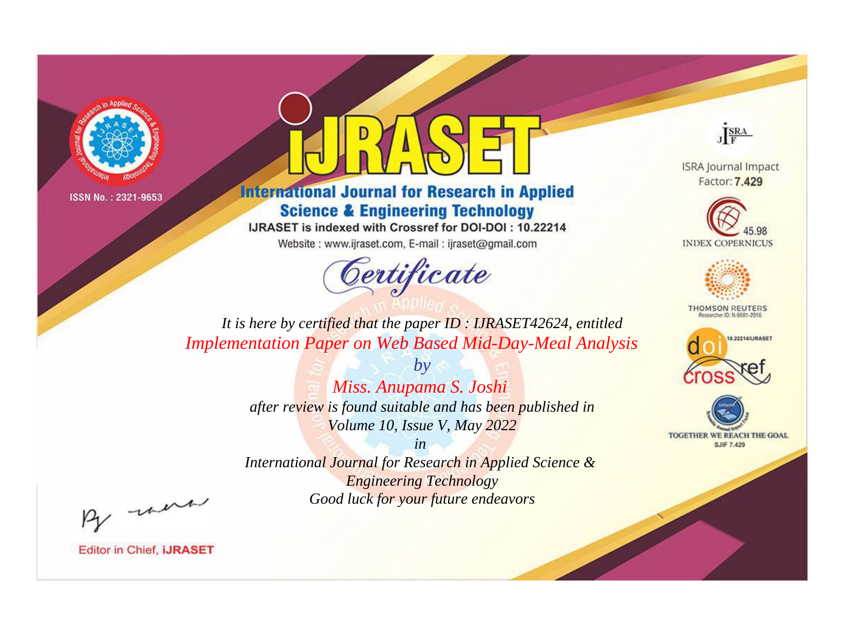



**International Journal for Research in Applied Science & Engineering Technology** 

IJRASET is indexed with Crossref for DOI-DOI: 10.22214

Website: www.ijraset.com, E-mail: ijraset@gmail.com



JERA

**ISRA Journal Impact** Factor: 7.429





**THOMSON REUTERS** 



TOGETHER WE REACH THE GOAL **SJIF 7.429** 

*It is here by certified that the paper ID : IJRASET42624, entitled Implementation Paper on Web Based Mid-Day-Meal Analysis*

> *by Miss. Anupama S. Joshi after review is found suitable and has been published in Volume 10, Issue V, May 2022*

> > *in*

*International Journal for Research in Applied Science & Engineering Technology Good luck for your future endeavors*

By morn